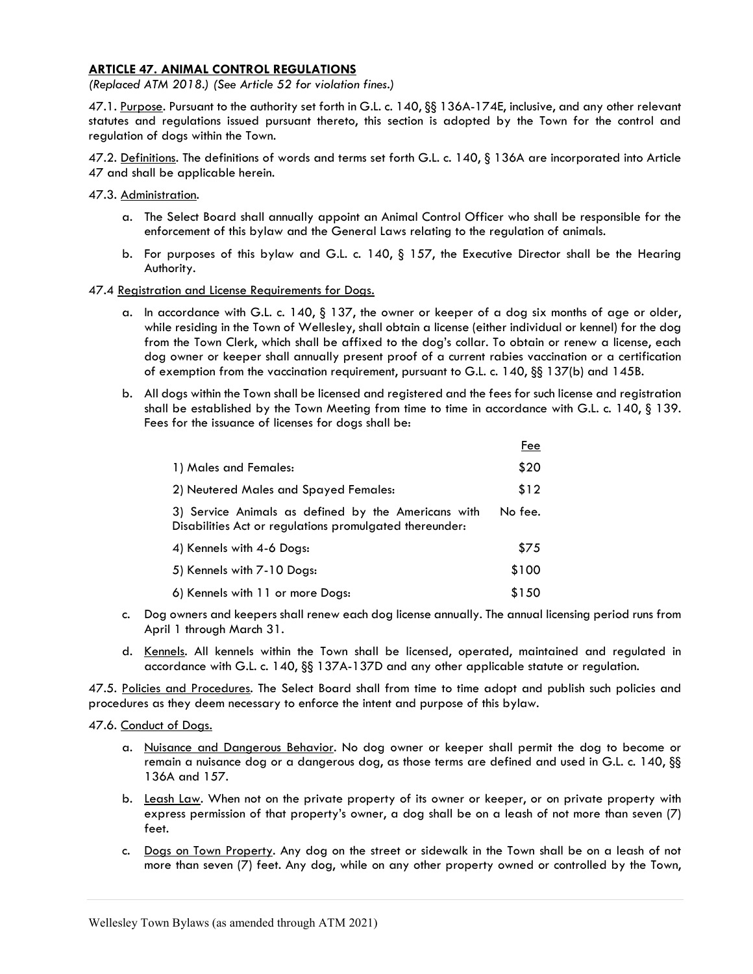## ARTICLE 47. ANIMAL CONTROL REGULATIONS

(Replaced ATM 2018.) (See Article 52 for violation fines.)

47.1. Purpose. Pursuant to the authority set forth in G.L. c. 140, §§ 136A-174E, inclusive, and any other relevant statutes and regulations issued pursuant thereto, this section is adopted by the Town for the control and regulation of dogs within the Town.

47.2. Definitions. The definitions of words and terms set forth G.L. c. 140, § 136A are incorporated into Article 47 and shall be applicable herein.

- 47.3. Administration.
	- a. The Select Board shall annually appoint an Animal Control Officer who shall be responsible for the enforcement of this bylaw and the General Laws relating to the regulation of animals.
	- b. For purposes of this bylaw and G.L. c. 140, § 157, the Executive Director shall be the Hearing Authority.

## 47.4 Registration and License Requirements for Dogs.

- a. In accordance with G.L. c. 140, § 137, the owner or keeper of a dog six months of age or older, while residing in the Town of Wellesley, shall obtain a license (either individual or kennel) for the dog from the Town Clerk, which shall be affixed to the dog's collar. To obtain or renew a license, each dog owner or keeper shall annually present proof of a current rabies vaccination or a certification of exemption from the vaccination requirement, pursuant to G.L. c. 140, §§ 137(b) and 145B.
- b. All dogs within the Town shall be licensed and registered and the fees for such license and registration shall be established by the Town Meeting from time to time in accordance with G.L. c. 140, § 139. Fees for the issuance of licenses for dogs shall be:

|                                                                                                                | Fee     |
|----------------------------------------------------------------------------------------------------------------|---------|
| 1) Males and Females:                                                                                          | \$20    |
| 2) Neutered Males and Spayed Females:                                                                          | \$12    |
| 3) Service Animals as defined by the Americans with<br>Disabilities Act or regulations promulgated thereunder: | No fee. |
| 4) Kennels with 4-6 Dogs:                                                                                      | \$75    |
| 5) Kennels with 7-10 Dogs:                                                                                     | \$100   |
| 6) Kennels with 11 or more Dogs:                                                                               | \$150   |

- c. Dog owners and keepers shall renew each dog license annually. The annual licensing period runs from April 1 through March 31.
- d. Kennels. All kennels within the Town shall be licensed, operated, maintained and regulated in accordance with G.L. c. 140, §§ 137A-137D and any other applicable statute or regulation.

47.5. Policies and Procedures. The Select Board shall from time to time adopt and publish such policies and procedures as they deem necessary to enforce the intent and purpose of this bylaw.

47.6. Conduct of Dogs.

- a. Nuisance and Dangerous Behavior. No dog owner or keeper shall permit the dog to become or remain a nuisance dog or a dangerous dog, as those terms are defined and used in G.L. c. 140, §§ 136A and 157.
- b. Leash Law. When not on the private property of its owner or keeper, or on private property with express permission of that property's owner, a dog shall be on a leash of not more than seven (7) feet.
- c. Dogs on Town Property. Any dog on the street or sidewalk in the Town shall be on a leash of not more than seven (7) feet. Any dog, while on any other property owned or controlled by the Town,